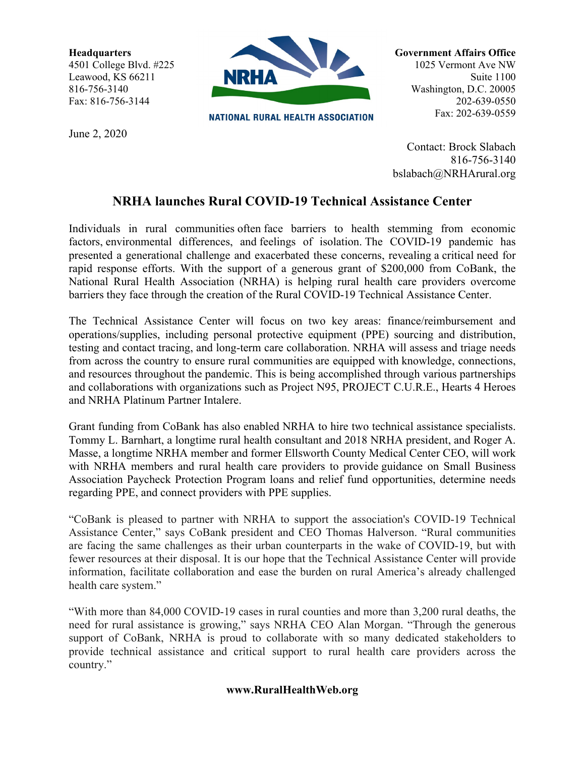**Headquarters** 4501 College Blvd. #225 Leawood, KS 66211 816-756-3140 Fax: 816-756-3144



**NATIONAL RURAL HEALTH ASSOCIATION** 

June 2, 2020

1025 Vermont Ave NW Suite 1100 Washington, D.C. 20005 202-639-0550 Fax: 202-639-0559

**Government Affairs Office**

 Contact: Brock Slabach 816-756-3140 bslabach@NRHArural.org

## **NRHA launches Rural COVID-19 Technical Assistance Center**

Individuals in rural communities often face barriers to health stemming from economic factors, environmental differences, and feelings of isolation. The COVID-19 pandemic has presented a generational challenge and exacerbated these concerns, revealing a critical need for rapid response efforts. With the support of a generous grant of \$200,000 from CoBank, the National Rural Health Association (NRHA) is helping rural health care providers overcome barriers they face through the creation of the Rural COVID-19 Technical Assistance Center.

The Technical Assistance Center will focus on two key areas: finance/reimbursement and operations/supplies, including personal protective equipment (PPE) sourcing and distribution, testing and contact tracing, and long-term care collaboration. NRHA will assess and triage needs from across the country to ensure rural communities are equipped with knowledge, connections, and resources throughout the pandemic. This is being accomplished through various partnerships and collaborations with organizations such as Project N95, PROJECT C.U.R.E., Hearts 4 Heroes and NRHA Platinum Partner Intalere.

Grant funding from CoBank has also enabled NRHA to hire two technical assistance specialists. Tommy L. Barnhart, a longtime rural health consultant and 2018 NRHA president, and Roger A. Masse, a longtime NRHA member and former Ellsworth County Medical Center CEO, will work with NRHA members and rural health care providers to provide guidance on Small Business Association Paycheck Protection Program loans and relief fund opportunities, determine needs regarding PPE, and connect providers with PPE supplies.

"CoBank is pleased to partner with NRHA to support the association's COVID-19 Technical Assistance Center," says CoBank president and CEO Thomas Halverson. "Rural communities are facing the same challenges as their urban counterparts in the wake of COVID-19, but with fewer resources at their disposal. It is our hope that the Technical Assistance Center will provide information, facilitate collaboration and ease the burden on rural America's already challenged health care system."

"With more than 84,000 COVID-19 cases in rural counties and more than 3,200 rural deaths, the need for rural assistance is growing," says NRHA CEO Alan Morgan. "Through the generous support of CoBank, NRHA is proud to collaborate with so many dedicated stakeholders to provide technical assistance and critical support to rural health care providers across the country."

## **www.RuralHealthWeb.org**